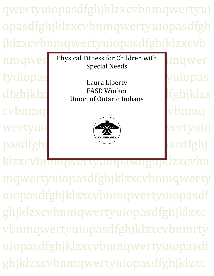qwertyuiopasdfghjklzxcvbnmqwertyui opasdfghjklzxcvbnmqwertyuiopasdfgh jklzxcvbnmqwertyuiopasdfghjklzxcvb

tyuiopas represents and the set of the set of the set of the set of the set of the set of the set of the set o cvbnmqwertyuiopasta state and the state of the state  $\alpha$ wertyuid (with the second vertyuiopas pasdfghj

nmqwer Physical Fitness for Children with ngwer Special Needs

 $\frac{d}{dz}$  FASD Worker  $\frac{d}{dz}$ Laura Liberty FASD Worker Union of Ontario Indians



klzxcvbnmqwertyuiopasdignjklzxcvbn mqwertyuiopasdfghjklzxcvbnmqwerty uiopasdfghjklzxcvbnmqwertyuiopasdf ghjklzxcvbnmqwertyuiopasdfghjklzxc vbnmqwertyuiopasdfghjklzxcvbnmrty uiopasdfghjklzxcvbnmqwertyuiopasdf ghjklzxcvbnmqwertyuiopasdfghjklzxc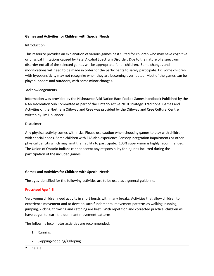## **Games and Activities for Children with Special Needs**

## **Introduction**

This resource provides an explanation of various games best suited for children who may have cognitive or physical limitations caused by Fetal Alcohol Spectrum Disorder. Due to the nature of a spectrum disorder not all of the selected games will be appropriate for all children. Some changes and modifications will need to be made in order for the participants to safely participate. Ex. Some children with hyposensitivity may not recognize when they are becoming overheated. Most of the games can be played indoors and outdoors, with some minor changes.

# Acknowledgements

Information was provided by the Nishnawbe Aski Nation Back Pocket Games handbook Published by the NAN Recreation Sub Committee as part of the Ontario Active 2010 Strategy. Traditional Games and Activities of the Northern Ojibway and Cree was provided by the Ojibway and Cree Cultural Centre written by Jim Hollander.

## Disclaimer

Any physical activity comes with risks. Please use caution when choosing games to play with children with special needs. Some children with FAS also experience Sensory Integration Impairments or other physical deficits which may limit their ability to participate. 100% supervision is highly recommended. The Union of Ontario Indians cannot accept any responsibility for injuries incurred during the participation of the included games.

## **Games and Activities for Children with Special Needs**

The ages identified for the following activities are to be used as a general guideline.

## **Preschool Age 4-6**

Very young children need activity in short bursts with many breaks. Activities that allow children to experience movement and to develop such fundamental movement patterns as walking, running, jumping, kicking, throwing and catching are best. With repetition and corrected practice, children will have begun to learn the dominant movement patterns.

The following loco motor activities are recommended:

- 1. Running
- 2. Skipping/hopping/galloping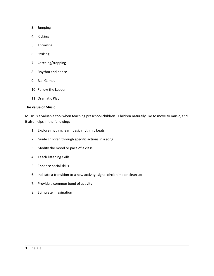- 3. Jumping
- 4. Kicking
- 5. Throwing
- 6. Striking
- 7. Catching/trapping
- 8. Rhythm and dance
- 9. Ball Games
- 10. Follow the Leader
- 11. Dramatic Play

## **The value of Music**

Music is a valuable tool when teaching preschool children. Children naturally like to move to music, and it also helps in the following:

- 1. Explore rhythm, learn basic rhythmic beats
- 2. Guide children through specific actions in a song
- 3. Modify the mood or pace of a class
- 4. Teach listening skills
- 5. Enhance social skills
- 6. Indicate a transition to a new activity, signal circle time or clean up
- 7. Provide a common bond of activity
- 8. Stimulate imagination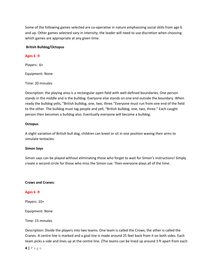Some of the following games selected are co-operative in nature emphasizing social skills from age 6 and up. Other games selected vary in intensity; the leader will need to use discretion when choosing which games are appropriate at any given time.

## **British Bulldog/Octopus**

### **Ages 6 -9**

Players: 6+

Equipment: None

Time: 20 minutes

Description: the playing area is a rectangular open field with well-defined boundaries. One person stands in the middle and is the bulldog. Everyone else stands on one end outside the boundary. When ready the bulldog yells, "British bulldog, one, two, three."Everyone must run from one end of the field to the other. The bulldog must tag people and yell, "British bulldog, one, two, three." Each caught person then becomes a bulldog also. Eventually everyone will become a bulldog.

### **Octopus**

A slight variation of British bull dog, children can kneel or sit in one position waving their arms to simulate tentacles.

## **Simon Says**

Simon says can be played without eliminating those who forget to wait for Simon's instructions! Simply create a second circle for those who miss the Simon cue. Then everyone plays all of the time.

#### **Crows and Cranes:**

## **Ages 6 -9**

Players: 10+

Equipment: None

#### Time: 15 minutes

Description: Divide the players into two teams. One team is called the Crows; the other is called the Cranes. A centre line is marked and a goal line is made around 25 feet back from it on both sides. Each team picks a side and lines up at the centre line. (The teams can be lined up around 3 ft apart from each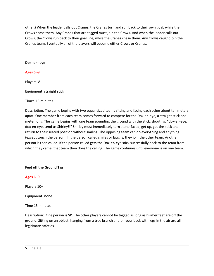other.) When the leader calls out Cranes, the Cranes turn and run back to their own goal, while the Crows chase them. Any Cranes that are tagged must join the Crows. And when the leader calls out Crows, the Crows run back to their goal line, while the Cranes chase them. Any Crows caught join the Cranes team. Eventually all of the players will become either Crows or Cranes.

**Dox- en- eye**

## **Ages 6 -9**

Players: 8+

Equipment: straight stick

Time: 15 minutes

Description: The game begins with two equal-sized teams sitting and facing each other about ten meters apart. One member from each team comes forward to compete for the Dox-en-eye, a straight stick one meter long. The game begins with one team pounding the ground with the stick, shouting, "dox-en-eye, dox-en-eye, send us Shirley!!" Shirley must immediately turn stone-faced, get up, get the stick and return to their seated position without smiling. The opposing team can do everything and anything (except touch the person). If the person called smiles or laughs, they join the other team. Another person is then called. If the person called gets the Dox-en-eye stick successfully back to the team from which they came, that team then does the calling. The game continues until everyone is on one team.

## **Feet off the Ground Tag**

## **Ages 6 -9**

Players 10+

Equipment: none

Time 15 minutes

Description: One person is 'it'. The other players cannot be tagged as long as his/her feet are off the ground. Sitting on an object, hanging from a tree branch and on your back with legs in the air are all legitimate safeties.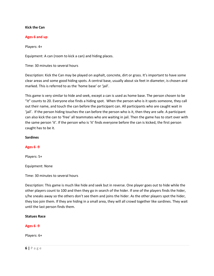### **Kick the Can**

### **Ages 6 and up**

Players: 4+

Equipment: A can (room to kick a can) and hiding places.

Time: 30 minutes to several hours

Description: Kick the Can may be played on asphalt, concrete, dirt or grass. It's important to have some clear areas and some good hiding spots. A central base, usually about six feet in diameter, is chosen and marked. This is referred to as the 'home base' or 'jail'.

This game is very similar to hide and seek, except a can is used as home base. The person chosen to be "it" counts to 20. Everyone else finds a hiding spot. When the person who is it spots someone, they call out their name, and touch the can before the participant can. All participants who are caught wait in 'jail'. If the person hiding touches the can before the person who is it, then they are safe. A participant can also kick the can to 'free' all teammates who are waiting in jail. Then the game has to start over with the same person 'it'. If the person who is 'it' finds everyone before the can is kicked, the first person caught has to be it.

### **Sardines**

## **Ages 6 -9**

Players: 5+

Equipment: None

Time: 30 minutes to several hours

Description: This game is much like hide and seek but in reverse. One player goes out to hide while the other players count to 100 and then they go in search of the hider. If one of the players finds the hider, s/he sneaks away so the others don't see them and joins the hider. As the other players spot the hider, they too join them. If they are hiding in a small area, they will all crowd together like sardines. They wait until the last person finds them.

### **Statues Race**

## **Ages 6 -9**

Players: 6+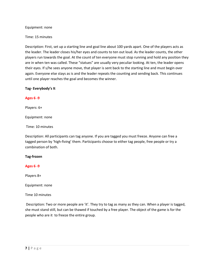Equipment: none

Time: 15 minutes

Description: First, set up a starting line and goal line about 100 yards apart. One of the players acts as the leader. The leader closes his/her eyes and counts to ten out loud. As the leader counts, the other players run towards the goal. At the count of ten everyone must stop running and hold any position they are in when ten was called. These "statues" are usually very peculiar looking. At ten, the leader opens their eyes. If s/he sees anyone move, that player is sent back to the starting line and must begin over again. Everyone else stays as is and the leader repeats the counting and sending back. This continues until one player reaches the goal and becomes the winner.

# **Tag- Everybody's It**

# **Ages 6 -9**

Players: 6+

Equipment: none

Time: 10 minutes

Description: All participants can tag anyone. If you are tagged you must freeze. Anyone can free a tagged person by 'high-fiving' them. Participants choose to either tag people, free people or try a combination of both.

## **Tag-frozen**

# **Ages 6 -9**

Players 8+

Equipment: none

Time 10 minutes

Description: Two or more people are 'it'. They try to tag as many as they can. When a player is tagged, she must stand still, but can be thawed if touched by a free player. The object of the game is for the people who are it to freeze the entire group.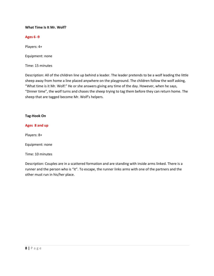## **What Time Is It Mr. Wolf?**

# **Ages 6 -9**

Players: 4+

Equipment: none

Time: 15 minutes

Description: All of the children line up behind a leader. The leader pretends to be a wolf leading the little sheep away from home a line placed anywhere on the playground. The children follow the wolf asking, "What time is it Mr. Wolf:" He or she answers giving any time of the day. However, when he says, "Dinner time", the wolf turns and chases the sheep trying to tag them before they can return home. The sheep that are tagged become Mr. Wolf's helpers.

## **Tag-Hook On**

# **Ages 8 and up**

Players: 8+

Equipment: none

Time: 10 minutes

Description: Couples are in a scattered formation and are standing with inside arms linked. There is a runner and the person who is "it". To escape, the runner links arms with one of the partners and the other must run in his/her place.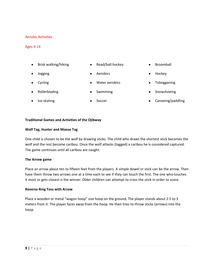### Aerobic Activities

#### Ages 9-14

- Brisk walking/hiking
- Road/ball hockey

Jogging

Cycling

Ice-skating

- Aerobics
- Water aerobics
- Rollerblading
- Swimming

Soccer

- 
- Snowshoeing

Tobogganing

Broomball

Hockey

Canoeing/paddling

### **Traditional Games and Activities of the Ojibway**

### **Wolf Tag, Hunter and Moose Tag**

One child is chosen to be the wolf by drawing sticks. The child who draws the shortest stick becomes the wolf and the rest become caribou. Once the wolf attacks (tagged) a caribou he is considered captured. The game continues until all caribou are caught.

#### **The Arrow game**

Place an arrow about ten to fifteen feet from the players. A simple dowel or stick can be the arrow. Then have them throw two arrows one at a time each to see if they can touch the first. The one who touches it most or gets closest is the winner. Older children can attempt to cross the stick in order to score.

#### **Reverse Ring Toss with Arrow**

Place a wooden or metal "wagon hoop" size hoop on the ground. The player stands about 2.5 to 3 meters from it. The player faces away from the hoop. He then tries to throw sticks (arrows) into the hoop.